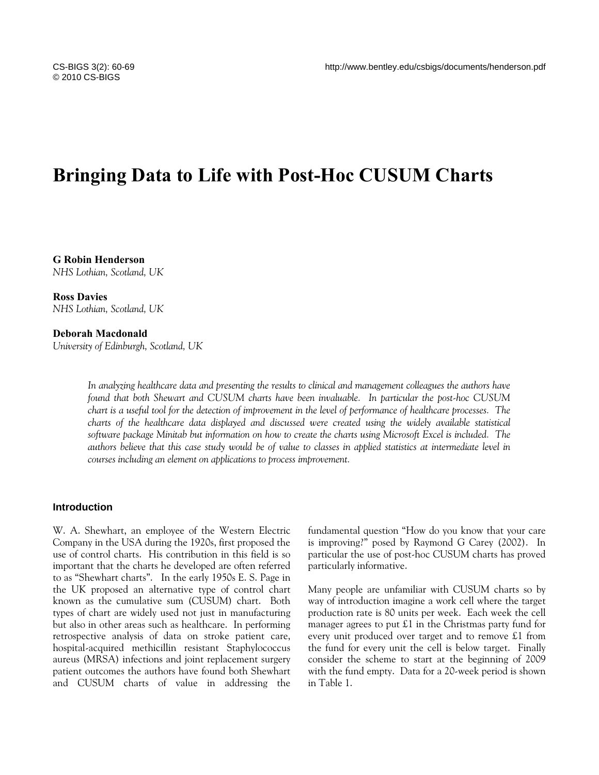# **Bringing Data to Life with Post-Hoc CUSUM Charts**

**G Robin Henderson**  *NHS Lothian, Scotland, UK* 

**Ross Davies**  *NHS Lothian, Scotland, UK* 

**Deborah Macdonald** 

*University of Edinburgh, Scotland, UK* 

*In analyzing healthcare data and presenting the results to clinical and management colleagues the authors have found that both Shewart and CUSUM charts have been invaluable. In particular the post-hoc CUSUM chart is a useful tool for the detection of improvement in the level of performance of healthcare processes. The charts of the healthcare data displayed and discussed were created using the widely available statistical software package Minitab but information on how to create the charts using Microsoft Excel is included. The authors believe that this case study would be of value to classes in applied statistics at intermediate level in courses including an element on applications to process improvement.* 

### **Introduction**

W. A. Shewhart, an employee of the Western Electric Company in the USA during the 1920s, first proposed the use of control charts. His contribution in this field is so important that the charts he developed are often referred to as "Shewhart charts". In the early 1950s E. S. Page in the UK proposed an alternative type of control chart known as the cumulative sum (CUSUM) chart. Both types of chart are widely used not just in manufacturing but also in other areas such as healthcare. In performing retrospective analysis of data on stroke patient care, hospital-acquired methicillin resistant Staphylococcus aureus (MRSA) infections and joint replacement surgery patient outcomes the authors have found both Shewhart and CUSUM charts of value in addressing the fundamental question "How do you know that your care is improving?" posed by Raymond G Carey (2002). In particular the use of post-hoc CUSUM charts has proved particularly informative.

Many people are unfamiliar with CUSUM charts so by way of introduction imagine a work cell where the target production rate is 80 units per week. Each week the cell manager agrees to put £1 in the Christmas party fund for every unit produced over target and to remove £1 from the fund for every unit the cell is below target. Finally consider the scheme to start at the beginning of 2009 with the fund empty. Data for a 20-week period is shown in Table 1.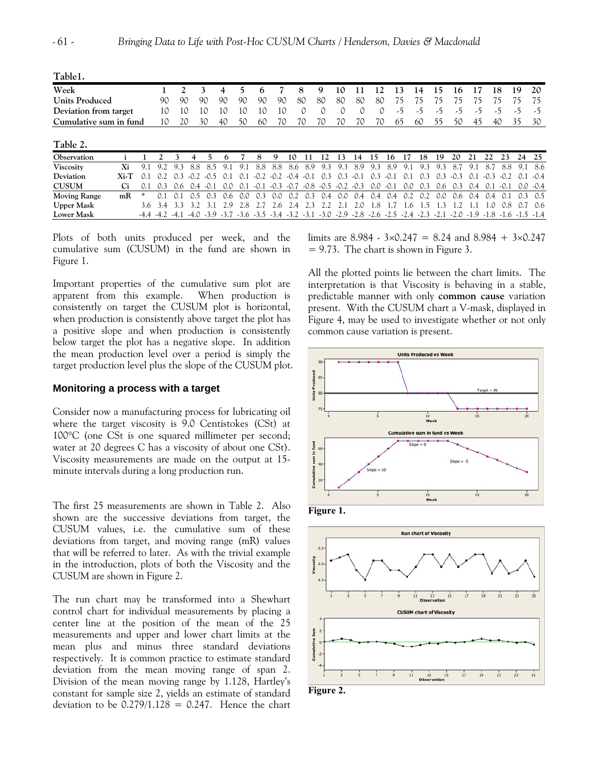**Table1.** 

| *******                |        |     |     |     |        |             |     |     |             |     |     |              |                                                                                                                   |                  |        |     |        |     |       |     |        |     |               |             |                 |             |
|------------------------|--------|-----|-----|-----|--------|-------------|-----|-----|-------------|-----|-----|--------------|-------------------------------------------------------------------------------------------------------------------|------------------|--------|-----|--------|-----|-------|-----|--------|-----|---------------|-------------|-----------------|-------------|
| Week                   |        |     |     |     |        | 3           | 4   | 5.  | h           |     |     | 8            | 9                                                                                                                 | 10               |        | 12  |        | 13  | 14    | 15  | 16     | 17  |               | 18          | 19              | 20          |
| <b>Units Produced</b>  |        |     | 90  | 90  |        | 90          | 90  | 90  | 90          | 90  |     | 80           | 80                                                                                                                | 80               | 80     | 80  |        | 75  | 75    | 75  | 75     | 75  |               | 75          | 75              | 75          |
| Deviation from target  |        |     | 10  | 10  |        | 10          | 10  | 10  | 10          | 1 C |     | 0            | 0                                                                                                                 |                  | 0      |     | 0      | -5  | -5    | د۔  | -כ     | -5  |               | -5          | -5              | -5          |
| Cumulative sum in fund |        |     | 10  | 20  |        | 30          | 40  | 50  | 60          | 70  |     | 70           | 70                                                                                                                | 70               | 70     | 70  | 65     |     | 60    | 55  | 50     | 45  |               | 40          | 35              | 30          |
|                        |        |     |     |     |        |             |     |     |             |     |     |              |                                                                                                                   |                  |        |     |        |     |       |     |        |     |               |             |                 |             |
| Table 2.               |        |     |     |     |        |             |     |     |             |     |     |              |                                                                                                                   |                  |        |     |        |     |       |     |        |     |               |             |                 |             |
| Observation            |        |     |     |     |        |             | 6   |     | 8           | 9   | 10  | 11           | 12                                                                                                                | 13 <sup>13</sup> | 14     | 15  | 16     | 17  | 18    | 19  | 20     | 21  | 22            | 23          | 24              | 25          |
| <b>Viscosity</b>       | Xi     | 9.1 | 9.2 | 9.3 | 8.8    | 85          | 9.1 | 9.1 | 8.8         | 8.8 | 8.6 | 8.9          | 9.3                                                                                                               | 9.3              | 8.9    | 9.3 | 8.9    | 9.1 | 9.3   | 9.3 | 8.7    | 9.1 | 8.7           | 8.8         |                 | 9.1 8.6     |
| Deviation              | $Xi-T$ | 0.1 | 0.2 | 0.3 | $-0.2$ | $-0.5$      | 0.1 | 0.1 | $-0.2 -0.2$ |     |     | $-0.4 - 0.1$ | 0.3                                                                                                               | 0.3              | $-0.1$ | 0.3 | $-0.1$ | 0.1 | 0.3   | 0.3 | $-0.3$ | 0.1 | $-0.3$        | $-0.2$      | 0.1             | $-0.4$      |
| <b>CUSUM</b>           | Ci     | 0.1 | 0.3 | 0.6 |        | $0.4 - 0.1$ | 0.0 |     |             |     |     |              | $0.1$ $0.1$ $0.3$ $0.7$ $0.8$ $0.5$ $0.2$ $0.3$                                                                   |                  |        | 0.0 | $-0.1$ | 0.0 | 0.3   | 0.6 | 0.3    | 0.4 |               | $0.1 - 0.1$ |                 | $0.0 - 0.4$ |
| <b>Moving Range</b>    | mR     | 冰   |     | 0.1 | 0.5    | 0.3         | 0.6 | 0.0 | 0.3         | 0.0 | 0.2 | 0.3          | 0.4                                                                                                               | 0.0              | 0.4    | 0.4 | 0.4    | 0.2 | 0.2   | 0.0 | 0.6    |     | $0.4$ 0.4 0.1 |             | $0.3 \quad 0.5$ |             |
| <b>Upper Mask</b>      |        | 3.6 | 3.4 | 3.3 | 3.2    | 31          | 2.9 | 2.8 |             | 2.6 | 2.4 | 2.3          |                                                                                                                   |                  | 2.0    | .8  |        | .6  | . . 5 | - 5 |        |     | 0.1           | 0.8         |                 | 0.6         |
| <b>Lower Mask</b>      |        |     |     |     |        |             |     |     |             |     |     |              | 1.4. 1.5. 1.6. 1.6. 1.9 1.9. 2.1. 2.2. 2.4. 2.5. 2.6. 2.9. 2.2. 3.1. 3.0. 2.9. 3.2. 3.4. 3.2. 2.9. 4.4. 4.2. 4.4. |                  |        |     |        |     |       |     |        |     |               |             |                 |             |

Plots of both units produced per week, and the cumulative sum (CUSUM) in the fund are shown in Figure 1.

Important properties of the cumulative sum plot are apparent from this example. When production is consistently on target the CUSUM plot is horizontal, when production is consistently above target the plot has a positive slope and when production is consistently below target the plot has a negative slope. In addition the mean production level over a period is simply the target production level plus the slope of the CUSUM plot.

# **Monitoring a process with a target**

Consider now a manufacturing process for lubricating oil where the target viscosity is 9.0 Centistokes (CSt) at 100°C (one CSt is one squared millimeter per second; water at 20 degrees C has a viscosity of about one CSt). Viscosity measurements are made on the output at 15 minute intervals during a long production run.

The first 25 measurements are shown in Table 2. Also shown are the successive deviations from target, the CUSUM values, i.e. the cumulative sum of these deviations from target, and moving range (mR) values that will be referred to later. As with the trivial example in the introduction, plots of both the Viscosity and the CUSUM are shown in Figure 2.

The run chart may be transformed into a Shewhart control chart for individual measurements by placing a center line at the position of the mean of the 25 measurements and upper and lower chart limits at the mean plus and minus three standard deviations respectively. It is common practice to estimate standard deviation from the mean moving range of span 2. Division of the mean moving range by 1.128, Hartley's constant for sample size 2, yields an estimate of standard deviation to be  $0.279/1.128 = 0.247$ . Hence the chart

limits are 8.984 -  $3 \times 0.247 = 8.24$  and 8.984 +  $3 \times 0.247$  $= 9.73$ . The chart is shown in Figure 3.

All the plotted points lie between the chart limits. The interpretation is that Viscosity is behaving in a stable, predictable manner with only **common cause** variation present. With the CUSUM chart a V-mask, displayed in Figure 4, may be used to investigate whether or not only common cause variation is present.





**Figure 2.**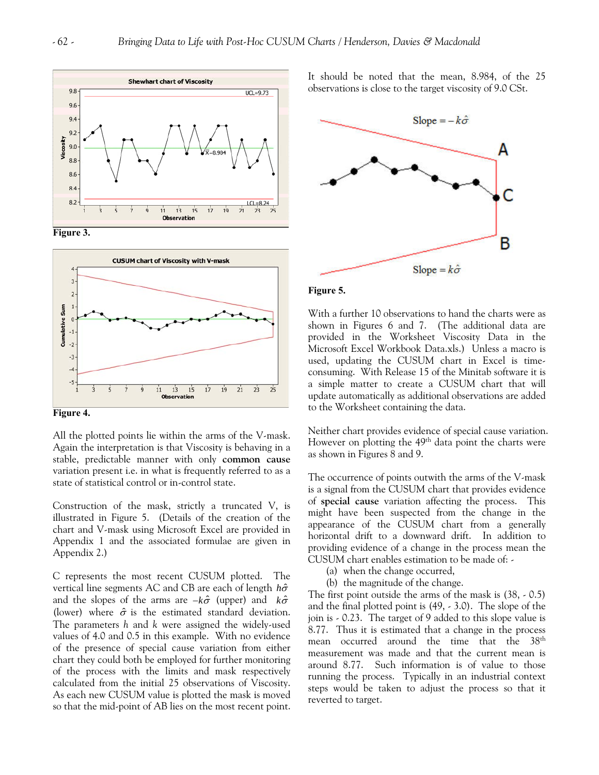





**Figure 4.** 

All the plotted points lie within the arms of the V-mask. Again the interpretation is that Viscosity is behaving in a stable, predictable manner with only **common cause** variation present i.e. in what is frequently referred to as a state of statistical control or in-control state.

Construction of the mask, strictly a truncated V, is illustrated in Figure 5. (Details of the creation of the chart and V-mask using Microsoft Excel are provided in Appendix 1 and the associated formulae are given in Appendix 2.)

C represents the most recent CUSUM plotted. The vertical line segments AC and CB are each of length *h*σˆ and the slopes of the arms are −*k*σˆ (upper) and *k*σˆ (lower) where  $\hat{\sigma}$  is the estimated standard deviation. The parameters *h* and *k* were assigned the widely-used values of 4.0 and 0.5 in this example. With no evidence of the presence of special cause variation from either chart they could both be employed for further monitoring of the process with the limits and mask respectively calculated from the initial 25 observations of Viscosity. As each new CUSUM value is plotted the mask is moved so that the mid-point of AB lies on the most recent point. It should be noted that the mean, 8.984, of the 25 observations is close to the target viscosity of 9.0 CSt.



#### **Figure 5.**

With a further 10 observations to hand the charts were as shown in Figures 6 and 7. (The additional data are provided in the Worksheet Viscosity Data in the Microsoft Excel Workbook Data.xls.) Unless a macro is used, updating the CUSUM chart in Excel is timeconsuming. With Release 15 of the Minitab software it is a simple matter to create a CUSUM chart that will update automatically as additional observations are added to the Worksheet containing the data.

Neither chart provides evidence of special cause variation. However on plotting the 49<sup>th</sup> data point the charts were as shown in Figures 8 and 9.

The occurrence of points outwith the arms of the V-mask is a signal from the CUSUM chart that provides evidence of **special cause** variation affecting the process. This might have been suspected from the change in the appearance of the CUSUM chart from a generally horizontal drift to a downward drift. In addition to providing evidence of a change in the process mean the CUSUM chart enables estimation to be made of: -

- (a) when the change occurred,
- (b) the magnitude of the change.

The first point outside the arms of the mask is (38, - 0.5) and the final plotted point is (49, - 3.0). The slope of the join is - 0.23. The target of 9 added to this slope value is 8.77. Thus it is estimated that a change in the process mean occurred around the time that the 38<sup>th</sup> measurement was made and that the current mean is around 8.77. Such information is of value to those running the process. Typically in an industrial context steps would be taken to adjust the process so that it reverted to target.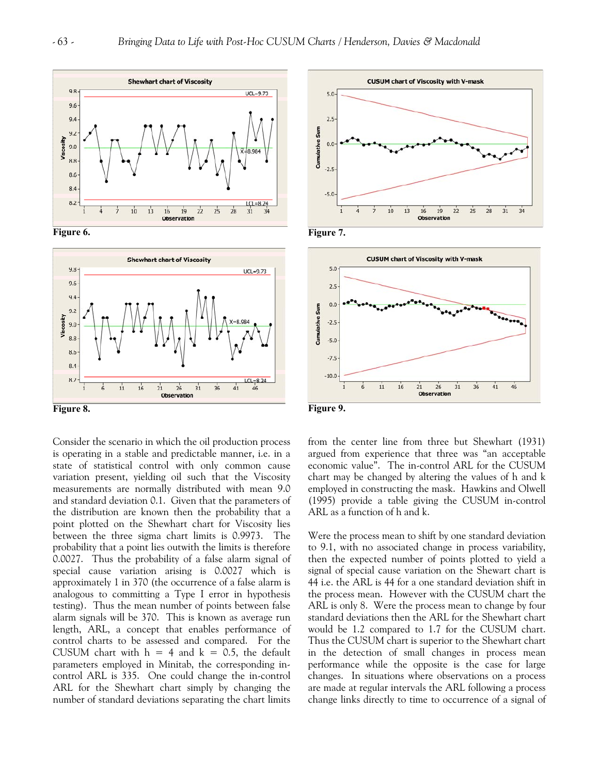



**Figure 8.** 

Consider the scenario in which the oil production process is operating in a stable and predictable manner, i.e. in a state of statistical control with only common cause variation present, yielding oil such that the Viscosity measurements are normally distributed with mean 9.0 and standard deviation 0.1. Given that the parameters of the distribution are known then the probability that a point plotted on the Shewhart chart for Viscosity lies between the three sigma chart limits is 0.9973. The probability that a point lies outwith the limits is therefore 0.0027. Thus the probability of a false alarm signal of special cause variation arising is 0.0027 which is approximately 1 in 370 (the occurrence of a false alarm is analogous to committing a Type I error in hypothesis testing). Thus the mean number of points between false alarm signals will be 370. This is known as average run length, ARL, a concept that enables performance of control charts to be assessed and compared. For the CUSUM chart with  $h = 4$  and  $k = 0.5$ , the default parameters employed in Minitab, the corresponding incontrol ARL is 335. One could change the in-control ARL for the Shewhart chart simply by changing the number of standard deviations separating the chart limits





**Figure 9.** 

from the center line from three but Shewhart (1931) argued from experience that three was "an acceptable economic value". The in-control ARL for the CUSUM chart may be changed by altering the values of h and k employed in constructing the mask. Hawkins and Olwell (1995) provide a table giving the CUSUM in-control ARL as a function of h and k.

Were the process mean to shift by one standard deviation to 9.1, with no associated change in process variability, then the expected number of points plotted to yield a signal of special cause variation on the Shewart chart is 44 i.e. the ARL is 44 for a one standard deviation shift in the process mean. However with the CUSUM chart the ARL is only 8. Were the process mean to change by four standard deviations then the ARL for the Shewhart chart would be 1.2 compared to 1.7 for the CUSUM chart. Thus the CUSUM chart is superior to the Shewhart chart in the detection of small changes in process mean performance while the opposite is the case for large changes. In situations where observations on a process are made at regular intervals the ARL following a process change links directly to time to occurrence of a signal of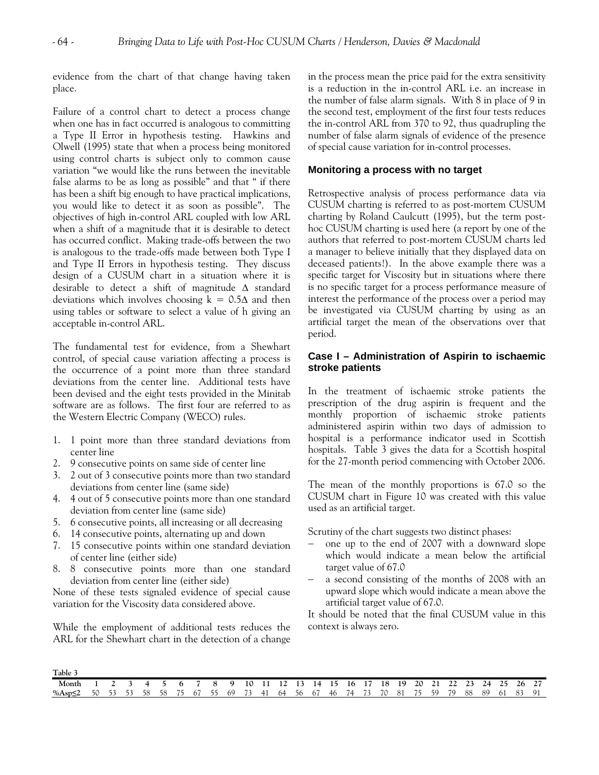evidence from the chart of that change having taken place.

Failure of a control chart to detect a process change when one has in fact occurred is analogous to committing a Type II Error in hypothesis testing. Hawkins and Olwell (1995) state that when a process being monitored using control charts is subject only to common cause variation "we would like the runs between the inevitable false alarms to be as long as possible" and that " if there has been a shift big enough to have practical implications, you would like to detect it as soon as possible". The objectives of high in-control ARL coupled with low ARL when a shift of a magnitude that it is desirable to detect has occurred conflict. Making trade-offs between the two is analogous to the trade-offs made between both Type I and Type II Errors in hypothesis testing. They discuss design of a CUSUM chart in a situation where it is desirable to detect a shift of magnitude Δ standard deviations which involves choosing  $k = 0.5\Delta$  and then using tables or software to select a value of h giving an acceptable in-control ARL.

The fundamental test for evidence, from a Shewhart control, of special cause variation affecting a process is the occurrence of a point more than three standard deviations from the center line. Additional tests have been devised and the eight tests provided in the Minitab software are as follows. The first four are referred to as the Western Electric Company (WECO) rules.

- 1. 1 point more than three standard deviations from center line
- 2. 9 consecutive points on same side of center line
- 3. 2 out of 3 consecutive points more than two standard deviations from center line (same side)
- 4. 4 out of 5 consecutive points more than one standard deviation from center line (same side)
- 5. 6 consecutive points, all increasing or all decreasing
- 6. 14 consecutive points, alternating up and down
- 7. 15 consecutive points within one standard deviation of center line (either side)
- 8. 8 consecutive points more than one standard deviation from center line (either side)

None of these tests signaled evidence of special cause variation for the Viscosity data considered above.

While the employment of additional tests reduces the ARL for the Shewhart chart in the detection of a change in the process mean the price paid for the extra sensitivity is a reduction in the in-control ARL i.e. an increase in the number of false alarm signals. With 8 in place of 9 in the second test, employment of the first four tests reduces the in-control ARL from 370 to 92, thus quadrupling the number of false alarm signals of evidence of the presence of special cause variation for in-control processes.

# **Monitoring a process with no target**

Retrospective analysis of process performance data via CUSUM charting is referred to as post-mortem CUSUM charting by Roland Caulcutt (1995), but the term posthoc CUSUM charting is used here (a report by one of the authors that referred to post-mortem CUSUM charts led a manager to believe initially that they displayed data on deceased patients!). In the above example there was a specific target for Viscosity but in situations where there is no specific target for a process performance measure of interest the performance of the process over a period may be investigated via CUSUM charting by using as an artificial target the mean of the observations over that period.

# **Case I – Administration of Aspirin to ischaemic stroke patients**

In the treatment of ischaemic stroke patients the prescription of the drug aspirin is frequent and the monthly proportion of ischaemic stroke patients administered aspirin within two days of admission to hospital is a performance indicator used in Scottish hospitals. Table 3 gives the data for a Scottish hospital for the 27-month period commencing with October 2006.

The mean of the monthly proportions is 67.0 so the CUSUM chart in Figure 10 was created with this value used as an artificial target.

Scrutiny of the chart suggests two distinct phases:

- − one up to the end of 2007 with a downward slope which would indicate a mean below the artificial target value of 67.0
- a second consisting of the months of 2008 with an upward slope which would indicate a mean above the artificial target value of 67.0.

It should be noted that the final CUSUM value in this context is always zero.

| Table 3                                                                       |             |  |  |                      |  |  |  |  |  |                               |  |      |                |  |  |
|-------------------------------------------------------------------------------|-------------|--|--|----------------------|--|--|--|--|--|-------------------------------|--|------|----------------|--|--|
| Month 1 2 3 4 5 6 7 8 9 10 11 12 13 14 15 16 17 18 19 20 21 22 23 24 25 26 27 |             |  |  |                      |  |  |  |  |  |                               |  |      |                |  |  |
| %Asp≤2                                                                        | 50 53 53 58 |  |  | 58 75 67 55 69 73 41 |  |  |  |  |  | 64 56 67 46 74 73 70 81 75 59 |  | - 79 | 88 89 61 83 91 |  |  |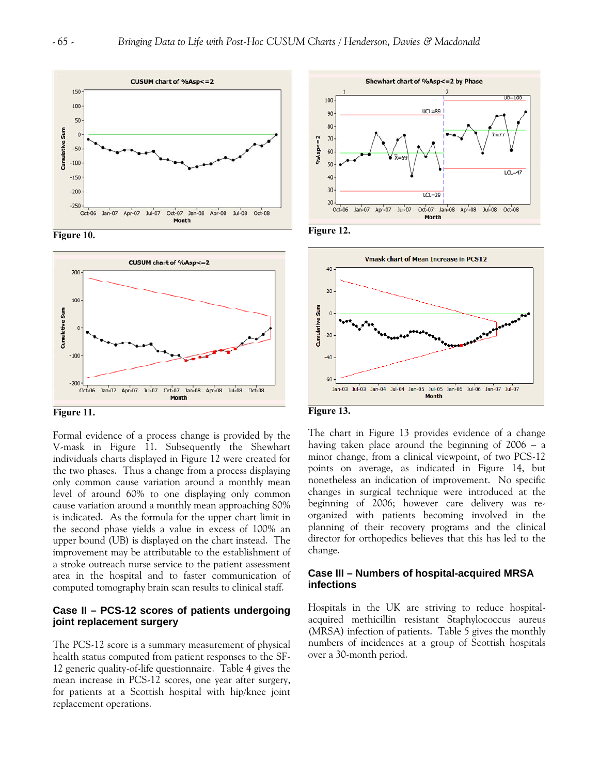





**Figure 11.** 

Formal evidence of a process change is provided by the V-mask in Figure 11. Subsequently the Shewhart individuals charts displayed in Figure 12 were created for the two phases. Thus a change from a process displaying only common cause variation around a monthly mean level of around 60% to one displaying only common cause variation around a monthly mean approaching 80% is indicated. As the formula for the upper chart limit in the second phase yields a value in excess of 100% an upper bound (UB) is displayed on the chart instead. The improvement may be attributable to the establishment of a stroke outreach nurse service to the patient assessment area in the hospital and to faster communication of computed tomography brain scan results to clinical staff.

# **Case II – PCS-12 scores of patients undergoing joint replacement surgery**

The PCS-12 score is a summary measurement of physical health status computed from patient responses to the SF-12 generic quality-of-life questionnaire. Table 4 gives the mean increase in PCS-12 scores, one year after surgery, for patients at a Scottish hospital with hip/knee joint replacement operations.









The chart in Figure 13 provides evidence of a change having taken place around the beginning of 2006 – a minor change, from a clinical viewpoint, of two PCS-12 points on average, as indicated in Figure 14, but nonetheless an indication of improvement. No specific changes in surgical technique were introduced at the beginning of 2006; however care delivery was reorganized with patients becoming involved in the planning of their recovery programs and the clinical director for orthopedics believes that this has led to the change.

# **Case III – Numbers of hospital-acquired MRSA infections**

Hospitals in the UK are striving to reduce hospitalacquired methicillin resistant Staphylococcus aureus (MRSA) infection of patients. Table 5 gives the monthly numbers of incidences at a group of Scottish hospitals over a 30-month period.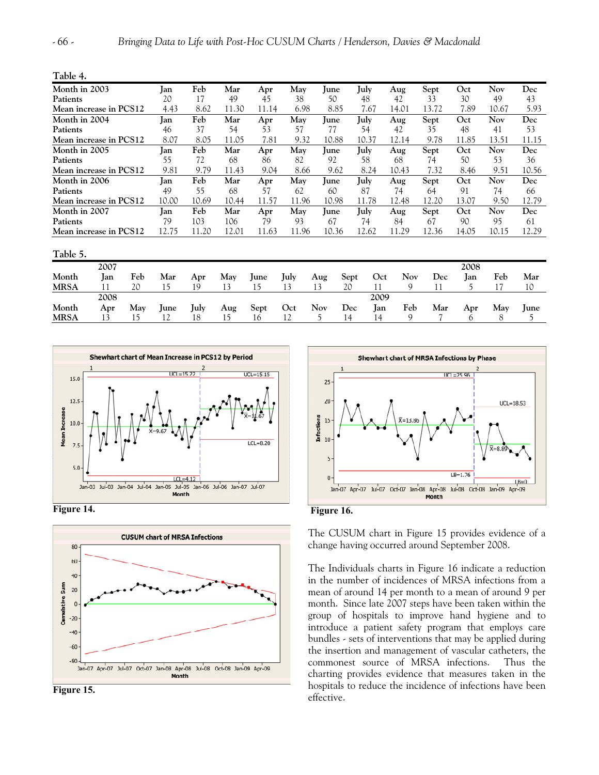**Table 5. 1. 1.** 

| L |  |  |
|---|--|--|
|---|--|--|

| Month in 2003          | Ian        | Feb   | Mar   |       | May   | June        | July  |       | Sept  | Oct   | Nov        | Dec   |
|------------------------|------------|-------|-------|-------|-------|-------------|-------|-------|-------|-------|------------|-------|
|                        |            |       |       | Apr   |       |             |       | Aug   |       |       |            |       |
| Patients               | 20         | 17    | 49    | 45    | 38    | 50          | 48    | 42    | 33    | 30    | 49         | 43    |
| Mean increase in PCS12 | 4.43       | 8.62  | 11.30 | 11.14 | 6.98  | 8.85        | 7.67  | 14.01 | 13.72 | 7.89  | 10.67      | 5.93  |
| Month in 2004          | lan        | Feb   | Mar   | Apr   | May   | lune        | July  | Aug   | Sept  | Oct   | Nov        | Dec   |
| Patients               | 46         | 37    | 54    | 53    | 57    | 77          | 54    | 42    | 35    | 48    | 41         | 53    |
| Mean increase in PCS12 | 8.07       | 8.05  | 11.05 | 7.81  | 9.32  | 10.88       | 10.37 | 12.14 | 9.78  | 11.85 | 13.51      | 11.15 |
| Month in 2005          | lan        | Feb   | Mar   | Apr   | May   | <b>June</b> | July  | Aug   | Sept  | Oct   | Nov        | Dec   |
| Patients               | 55         | 72    | 68    | 86    | 82    | 92          | 58    | 68    | 74    | 50    | 53         | 36    |
| Mean increase in PCS12 | 9.81       | 9.79  | 11.43 | 9.04  | 8.66  | 9.62        | 8.24  | 10.43 | 7.32  | 8.46  | 9.51       | 10.56 |
| Month in 2006          | <b>Ian</b> | Feb   | Mar   | Apr   | May   | lune        | July  | Aug   | Sept  | Oct   | Nov        | Dec   |
| Patients               | 49         | 55    | 68    | 57    | 62    | 60          | 87    | 74    | 64    | 91    | 74         | 66    |
| Mean increase in PCS12 | 10.00      | 10.69 | 10.44 | 11.57 | 11.96 | 10.98       | 11.78 | 12.48 | 12.20 | 13.07 | 9.50       | 12.79 |
| Month in 2007          | lan        | Feb   | Mar   | Apr   | May   | lune        | July  | Aug   | Sept  | Oct   | <b>Nov</b> | Dec   |
| Patients               | 79         | 103   | 106   | 79    | 93    | 67          | 74    | 84    | 67    | 90    | 95         | 61    |
| Mean increase in PCS12 | 12.75      | 11.20 | 12.01 | 11.63 | 11.96 | 10.36       | 12.62 | 11.29 | 12.36 | 14.05 | 10.15      | 12.29 |
|                        |            |       |       |       |       |             |       |       |       |       |            |       |

| rable 5.    |             |     |             |      |     |      |      |            |      |      |     |     |            |     |             |
|-------------|-------------|-----|-------------|------|-----|------|------|------------|------|------|-----|-----|------------|-----|-------------|
|             | 2007        |     |             |      |     |      |      |            |      |      |     |     | 2008       |     |             |
| Month       | <b>I</b> an | Feb | Mar         | Apr  | May | lune | July | Aug        | Sept | Oct  | Nov | Dec | <b>Jan</b> | Feb | Mar         |
| <b>MRSA</b> |             | 20  | . 5         | 19   |     |      | د،   | 13         | 20   |      |     |     |            |     | 10          |
|             | 2008        |     |             |      |     |      |      |            |      | 2009 |     |     |            |     |             |
| Month       | Apr         | May | <b>June</b> | July | Aug | Sept | Oct  | <b>Nov</b> | Dec  | Jan  | Feb | Mar | Apr        | May | <b>June</b> |
| <b>MRSA</b> | 13          |     |             | 18   |     | Iб   |      |            | 14   | 14   | a   |     |            | 8   |             |



**Figure 14.** 



**Figure 15.** 





The CUSUM chart in Figure 15 provides evidence of a change having occurred around September 2008.

The Individuals charts in Figure 16 indicate a reduction in the number of incidences of MRSA infections from a mean of around 14 per month to a mean of around 9 per month. Since late 2007 steps have been taken within the group of hospitals to improve hand hygiene and to introduce a patient safety program that employs care bundles - sets of interventions that may be applied during the insertion and management of vascular catheters, the commonest source of MRSA infections. Thus the charting provides evidence that measures taken in the hospitals to reduce the incidence of infections have been effective.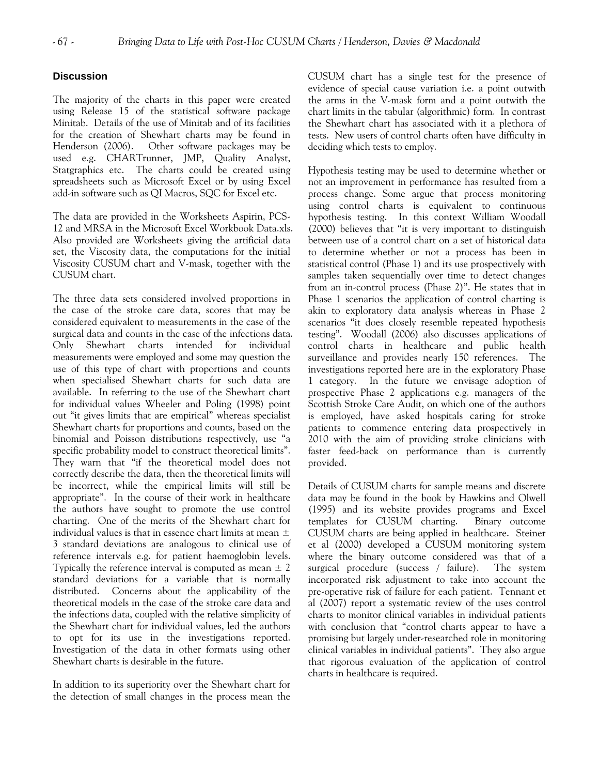# **Discussion**

The majority of the charts in this paper were created using Release 15 of the statistical software package Minitab. Details of the use of Minitab and of its facilities for the creation of Shewhart charts may be found in Henderson (2006). Other software packages may be used e.g. CHARTrunner, JMP, Quality Analyst, Statgraphics etc. The charts could be created using spreadsheets such as Microsoft Excel or by using Excel add-in software such as QI Macros, SQC for Excel etc.

The data are provided in the Worksheets Aspirin, PCS-12 and MRSA in the Microsoft Excel Workbook Data.xls. Also provided are Worksheets giving the artificial data set, the Viscosity data, the computations for the initial Viscosity CUSUM chart and V-mask, together with the CUSUM chart.

The three data sets considered involved proportions in the case of the stroke care data, scores that may be considered equivalent to measurements in the case of the surgical data and counts in the case of the infections data. Only Shewhart charts intended for individual measurements were employed and some may question the use of this type of chart with proportions and counts when specialised Shewhart charts for such data are available. In referring to the use of the Shewhart chart for individual values Wheeler and Poling (1998) point out "it gives limits that are empirical" whereas specialist Shewhart charts for proportions and counts, based on the binomial and Poisson distributions respectively, use "a specific probability model to construct theoretical limits". They warn that "if the theoretical model does not correctly describe the data, then the theoretical limits will be incorrect, while the empirical limits will still be appropriate". In the course of their work in healthcare the authors have sought to promote the use control charting. One of the merits of the Shewhart chart for individual values is that in essence chart limits at mean  $\pm$ 3 standard deviations are analogous to clinical use of reference intervals e.g. for patient haemoglobin levels. Typically the reference interval is computed as mean  $\pm 2$ standard deviations for a variable that is normally distributed. Concerns about the applicability of the theoretical models in the case of the stroke care data and the infections data, coupled with the relative simplicity of the Shewhart chart for individual values, led the authors to opt for its use in the investigations reported. Investigation of the data in other formats using other Shewhart charts is desirable in the future.

In addition to its superiority over the Shewhart chart for the detection of small changes in the process mean the CUSUM chart has a single test for the presence of evidence of special cause variation i.e. a point outwith the arms in the V-mask form and a point outwith the chart limits in the tabular (algorithmic) form. In contrast the Shewhart chart has associated with it a plethora of tests. New users of control charts often have difficulty in deciding which tests to employ.

Hypothesis testing may be used to determine whether or not an improvement in performance has resulted from a process change. Some argue that process monitoring using control charts is equivalent to continuous hypothesis testing. In this context William Woodall (2000) believes that "it is very important to distinguish between use of a control chart on a set of historical data to determine whether or not a process has been in statistical control (Phase 1) and its use prospectively with samples taken sequentially over time to detect changes from an in-control process (Phase 2)". He states that in Phase 1 scenarios the application of control charting is akin to exploratory data analysis whereas in Phase 2 scenarios "it does closely resemble repeated hypothesis testing". Woodall (2006) also discusses applications of control charts in healthcare and public health surveillance and provides nearly 150 references. The investigations reported here are in the exploratory Phase 1 category. In the future we envisage adoption of prospective Phase 2 applications e.g. managers of the Scottish Stroke Care Audit, on which one of the authors is employed, have asked hospitals caring for stroke patients to commence entering data prospectively in 2010 with the aim of providing stroke clinicians with faster feed-back on performance than is currently provided.

Details of CUSUM charts for sample means and discrete data may be found in the book by Hawkins and Olwell (1995) and its website provides programs and Excel templates for CUSUM charting. Binary outcome CUSUM charts are being applied in healthcare. Steiner et al (2000) developed a CUSUM monitoring system where the binary outcome considered was that of a surgical procedure (success / failure). The system incorporated risk adjustment to take into account the pre-operative risk of failure for each patient. Tennant et al (2007) report a systematic review of the uses control charts to monitor clinical variables in individual patients with conclusion that "control charts appear to have a promising but largely under-researched role in monitoring clinical variables in individual patients". They also argue that rigorous evaluation of the application of control charts in healthcare is required.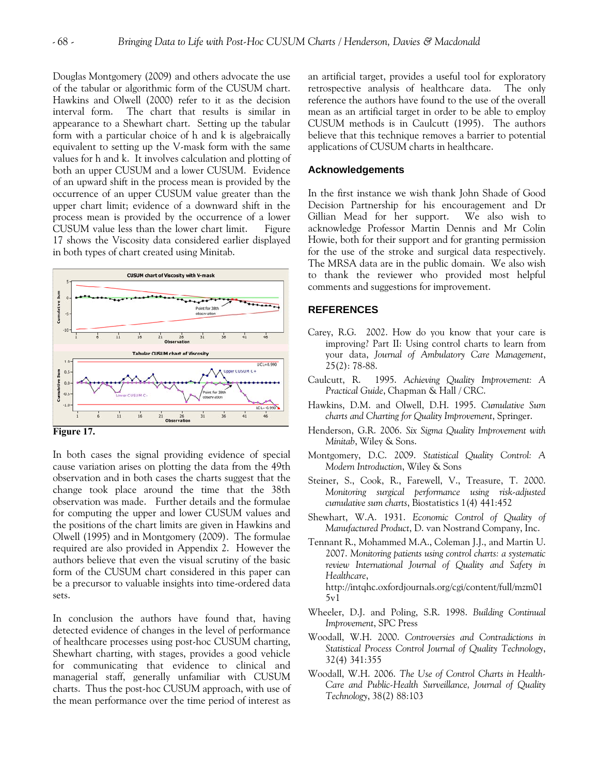Douglas Montgomery (2009) and others advocate the use of the tabular or algorithmic form of the CUSUM chart. Hawkins and Olwell (2000) refer to it as the decision interval form. The chart that results is similar in appearance to a Shewhart chart. Setting up the tabular form with a particular choice of h and k is algebraically equivalent to setting up the V-mask form with the same values for h and k. It involves calculation and plotting of both an upper CUSUM and a lower CUSUM. Evidence of an upward shift in the process mean is provided by the occurrence of an upper CUSUM value greater than the upper chart limit; evidence of a downward shift in the process mean is provided by the occurrence of a lower CUSUM value less than the lower chart limit. Figure 17 shows the Viscosity data considered earlier displayed in both types of chart created using Minitab.



**Figure 17.** 

In both cases the signal providing evidence of special cause variation arises on plotting the data from the 49th observation and in both cases the charts suggest that the change took place around the time that the 38th observation was made. Further details and the formulae for computing the upper and lower CUSUM values and the positions of the chart limits are given in Hawkins and Olwell (1995) and in Montgomery (2009). The formulae required are also provided in Appendix 2. However the authors believe that even the visual scrutiny of the basic form of the CUSUM chart considered in this paper can be a precursor to valuable insights into time-ordered data sets.

In conclusion the authors have found that, having detected evidence of changes in the level of performance of healthcare processes using post-hoc CUSUM charting, Shewhart charting, with stages, provides a good vehicle for communicating that evidence to clinical and managerial staff, generally unfamiliar with CUSUM charts. Thus the post-hoc CUSUM approach, with use of the mean performance over the time period of interest as an artificial target, provides a useful tool for exploratory retrospective analysis of healthcare data. The only reference the authors have found to the use of the overall mean as an artificial target in order to be able to employ CUSUM methods is in Caulcutt (1995). The authors believe that this technique removes a barrier to potential applications of CUSUM charts in healthcare.

#### **Acknowledgements**

In the first instance we wish thank John Shade of Good Decision Partnership for his encouragement and Dr Gillian Mead for her support. We also wish to acknowledge Professor Martin Dennis and Mr Colin Howie, both for their support and for granting permission for the use of the stroke and surgical data respectively. The MRSA data are in the public domain. We also wish to thank the reviewer who provided most helpful comments and suggestions for improvement.

### **REFERENCES**

- Carey, R.G. 2002. How do you know that your care is improving? Part II: Using control charts to learn from your data, *Journal of Ambulatory Care Management*, 25(2): 78-88.
- Caulcutt, R. 1995. *Achieving Quality Improvement: A Practical Guide*, Chapman & Hall / CRC.
- Hawkins, D.M. and Olwell, D.H. 1995. *Cumulative Sum charts and Charting for Quality Improvement*, Springer.
- Henderson, G.R. 2006. *Six Sigma Quality Improvement with Minitab*, Wiley & Sons.
- Montgomery, D.C. 2009. *Statistical Quality Control: A Modern Introduction*, Wiley & Sons
- Steiner, S., Cook, R., Farewell, V., Treasure, T. 2000. *Monitoring surgical performance using risk-adjusted cumulative sum charts*, Biostatistics 1(4) 441:452
- Shewhart, W.A. 1931. *Economic Control of Quality of Manufactured Product*, D. van Nostrand Company, Inc.
- Tennant R., Mohammed M.A., Coleman J.J., and Martin U. 2007. *Monitoring patients using control charts: a systematic review International Journal of Quality and Safety in Healthcare*, http://intqhc.oxfordjournals.org/cgi/content/full/mzm01  $5v1$
- Wheeler, D.J. and Poling, S.R. 1998. *Building Continual Improvement*, SPC Press
- Woodall, W.H. 2000. *Controversies and Contradictions in Statistical Process Control Journal of Quality Technology*, 32(4) 341:355
- Woodall, W.H. 2006. *The Use of Control Charts in Health-Care and Public-Health Surveillance, Journal of Quality Technology*, 38(2) 88:103